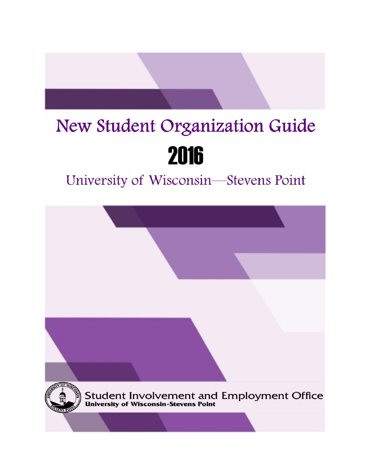# New Student Organization Guide 2016

## University of Wisconsin-Stevens Point

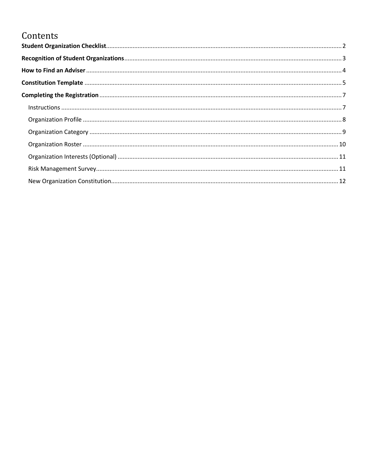### Contents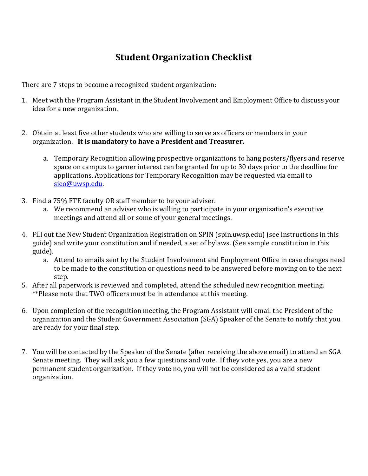### **Student Organization Checklist**

<span id="page-2-0"></span>There are 7 steps to become a recognized student organization:

- 1. Meet with the Program Assistant in the Student Involvement and Employment Office to discuss your idea for a new organization.
- 2. Obtain at least five other students who are willing to serve as officers or members in your organization. **It is mandatory to have a President and Treasurer.**
	- a. Temporary Recognition allowing prospective organizations to hang posters/flyers and reserve space on campus to garner interest can be granted for up to 30 days prior to the deadline for applications. Applications for Temporary Recognition may be requested via email to [sieo@uwsp.edu.](mailto:sieo@uwsp.edu)
- 3. Find a 75% FTE faculty OR staff member to be your adviser.
	- a. We recommend an adviser who is willing to participate in your organization's executive meetings and attend all or some of your general meetings.
- 4. Fill out the New Student Organization Registration on SPIN (spin.uwsp.edu) (see instructions in this guide) and write your constitution and if needed, a set of bylaws. (See sample constitution in this guide).
	- a. Attend to emails sent by the Student Involvement and Employment Office in case changes need to be made to the constitution or questions need to be answered before moving on to the next step.
- 5. After all paperwork is reviewed and completed, attend the scheduled new recognition meeting. \*\*Please note that TWO officers must be in attendance at this meeting.
- 6. Upon completion of the recognition meeting, the Program Assistant will email the President of the organization and the Student Government Association (SGA) Speaker of the Senate to notify that you are ready for your final step.
- 7. You will be contacted by the Speaker of the Senate (after receiving the above email) to attend an SGA Senate meeting. They will ask you a few questions and vote. If they vote yes, you are a new permanent student organization. If they vote no, you will not be considered as a valid student organization.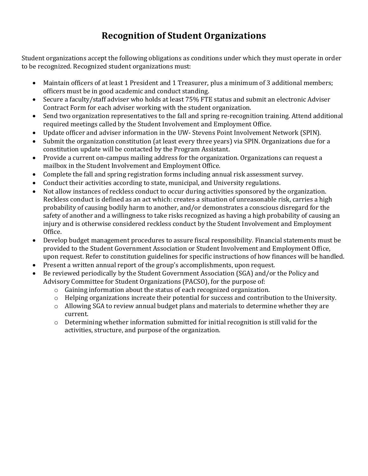### **Recognition of Student Organizations**

<span id="page-3-0"></span>Student organizations accept the following obligations as conditions under which they must operate in order to be recognized. Recognized student organizations must:

- Maintain officers of at least 1 President and 1 Treasurer, plus a minimum of 3 additional members; officers must be in good academic and conduct standing.
- Secure a faculty/staff adviser who holds at least 75% FTE status and submit an electronic Adviser Contract Form for each adviser working with the student organization.
- Send two organization representatives to the fall and spring re-recognition training. Attend additional required meetings called by the Student Involvement and Employment Office.
- Update officer and adviser information in the UW- Stevens Point Involvement Network (SPIN).
- Submit the organization constitution (at least every three years) via SPIN. Organizations due for a constitution update will be contacted by the Program Assistant.
- Provide a current on-campus mailing address for the organization. Organizations can request a mailbox in the Student Involvement and Employment Office.
- Complete the fall and spring registration forms including annual risk assessment survey.
- Conduct their activities according to state, municipal, and University regulations.
- Not allow instances of reckless conduct to occur during activities sponsored by the organization. Reckless conduct is defined as an act which: creates a situation of unreasonable risk, carries a high probability of causing bodily harm to another, and/or demonstrates a conscious disregard for the safety of another and a willingness to take risks recognized as having a high probability of causing an injury and is otherwise considered reckless conduct by the Student Involvement and Employment Office.
- Develop budget management procedures to assure fiscal responsibility. Financial statements must be provided to the Student Government Association or Student Involvement and Employment Office, upon request. Refer to constitution guidelines for specific instructions of how finances will be handled.
- Present a written annual report of the group's accomplishments, upon request.
- Be reviewed periodically by the Student Government Association (SGA) and/or the Policy and Advisory Committee for Student Organizations (PACSO), for the purpose of:
	- o Gaining information about the status of each recognized organization.
	- o Helping organizations increate their potential for success and contribution to the University.
	- o Allowing SGA to review annual budget plans and materials to determine whether they are current.
	- $\circ$  Determining whether information submitted for initial recognition is still valid for the activities, structure, and purpose of the organization.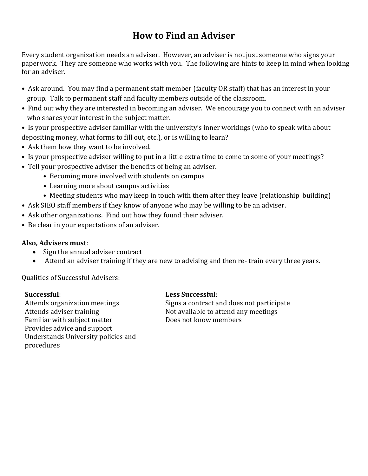### **How to Find an Adviser**

<span id="page-4-0"></span>Every student organization needs an adviser. However, an adviser is not just someone who signs your paperwork. They are someone who works with you. The following are hints to keep in mind when looking for an adviser.

- Ask around. You may find a permanent staff member (faculty OR staff) that has an interest in your group. Talk to permanent staff and faculty members outside of the classroom.
- Find out why they are interested in becoming an adviser. We encourage you to connect with an adviser who shares your interest in the subject matter.
- Is your prospective adviser familiar with the university's inner workings (who to speak with about depositing money, what forms to fill out, etc.), or is willing to learn?
- Ask them how they want to be involved.
- Is your prospective adviser willing to put in a little extra time to come to some of your meetings?
- Tell your prospective adviser the benefits of being an adviser.
	- Becoming more involved with students on campus
	- Learning more about campus activities
	- Meeting students who may keep in touch with them after they leave (relationship building)
- Ask SIEO staff members if they know of anyone who may be willing to be an adviser.
- Ask other organizations. Find out how they found their adviser.
- Be clear in your expectations of an adviser.

#### **Also, Advisers must**:

- Sign the annual adviser contract
- Attend an adviser training if they are new to advising and then re- train every three years.

Qualities of Successful Advisers:

Familiar with subject matter Does not know members Provides advice and support Understands University policies and procedures

#### **Successful**: **Less Successful**:

Attends organization meetings Signs a contract and does not participate Attends adviser training Not available to attend any meetings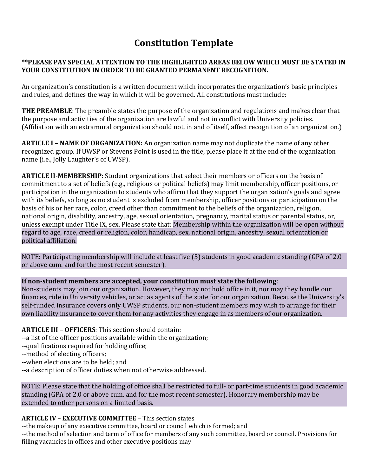### **Constitution Template**

#### <span id="page-5-0"></span>**\*\*PLEASE PAY SPECIAL ATTENTION TO THE HIGHLIGHTED AREAS BELOW WHICH MUST BE STATED IN YOUR CONSTITUTION IN ORDER TO BE GRANTED PERMANENT RECOGNITION.**

An organization's constitution is a written document which incorporates the organization's basic principles and rules, and defines the way in which it will be governed. All constitutions must include:

**THE PREAMBLE**: The preamble states the purpose of the organization and regulations and makes clear that the purpose and activities of the organization are lawful and not in conflict with University policies. (Affiliation with an extramural organization should not, in and of itself, affect recognition of an organization.)

**ARTICLE I – NAME OF ORGANIZATION:** An organization name may not duplicate the name of any other recognized group. If UWSP or Stevens Point is used in the title, please place it at the end of the organization name (i.e., Jolly Laughter's of UWSP).

**ARTICLE lI-MEMBERSHIP**: Student organizations that select their members or officers on the basis of commitment to a set of beliefs (e.g., religious or political beliefs) may limit membership, officer positions, or participation in the organization to students who affirm that they support the organization's goals and agree with its beliefs, so long as no student is excluded from membership, officer positions or participation on the basis of his or her race, color, creed other than commitment to the beliefs of the organization, religion, national origin, disability, ancestry, age, sexual orientation, pregnancy, marital status or parental status, or, unless exempt under Title IX, sex. Please state that: Membership within the organization will be open without regard to age, race, creed or religion, color, handicap, sex, national origin, ancestry, sexual orientation or political affiliation.

NOTE: Participating membership will include at least five (5) students in good academic standing (GPA of 2.0 or above cum. and for the most recent semester).

#### **If non-student members are accepted, your constitution must state the following**:

Non-students may join our organization. However, they may not hold office in it, nor may they handle our finances, ride in University vehicles, or act as agents of the state for our organization. Because the University's self-funded insurance covers only UWSP students, our non-student members may wish to arrange for their own liability insurance to cover them for any activities they engage in as members of our organization.

#### **ARTICLE III – OFFICERS**: This section should contain:

--a list of the officer positions available within the organization;

- --qualifications required for holding office;
- --method of electing officers;
- --when elections are to be held; and
- --a description of officer duties when not otherwise addressed.

NOTE: Please state that the holding of office shall be restricted to full- or part-time students in good academic standing (GPA of 2.0 or above cum. and for the most recent semester). Honorary membership may be extended to other persons on a limited basis.

#### **ARTICLE IV – EXECUTIVE COMMITTEE** – This section states

--the makeup of any executive committee, board or council which is formed; and

--the method of selection and term of office for members of any such committee, board or council. Provisions for filling vacancies in offices and other executive positions may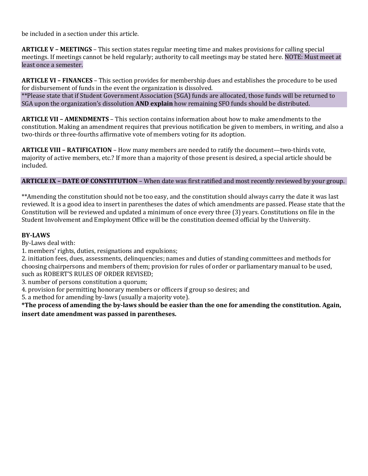be included in a section under this article.

**ARTICLE V – MEETINGS** – This section states regular meeting time and makes provisions for calling special meetings. If meetings cannot be held regularly; authority to call meetings may be stated here. NOTE: Must meet at least once a semester.

**ARTICLE VI – FINANCES** – This section provides for membership dues and establishes the procedure to be used for disbursement of funds in the event the organization is dissolved. \*\*Please state that if Student Government Association (SGA) funds are allocated, those funds will be returned to SGA upon the organization's dissolution **AND explain** how remaining SFO funds should be distributed.

**ARTICLE VII – AMENDMENTS** – This section contains information about how to make amendments to the constitution. Making an amendment requires that previous notification be given to members, in writing, and also a two-thirds or three-fourths affirmative vote of members voting for its adoption.

**ARTICLE VIII – RATIFICATION** – How many members are needed to ratify the document—two-thirds vote, majority of active members, etc.? If more than a majority of those present is desired, a special article should be included.

#### **ARTICLE IX – DATE OF CONSTITUTION** – When date was first ratified and most recently reviewed by your group.

\*\*Amending the constitution should not be too easy, and the constitution should always carry the date it was last reviewed. It is a good idea to insert in parentheses the dates of which amendments are passed. Please state that the Constitution will be reviewed and updated a minimum of once every three (3) years. Constitutions on file in the Student Involvement and Employment Office will be the constitution deemed official by the University.

#### **BY-LAWS**

By-Laws deal with:

1. members' rights, duties, resignations and expulsions;

2. initiation fees, dues, assessments, delinquencies; names and duties of standing committees and methods for choosing chairpersons and members of them; provision for rules of order or parliamentary manual to be used, such as ROBERT'S RULES OF ORDER REVISED;

3. number of persons constitution a quorum;

4. provision for permitting honorary members or officers if group so desires; and

5. a method for amending by-laws (usually a majority vote).

**\*The process of amending the by-laws should be easier than the one for amending the constitution. Again, insert date amendment was passed in parentheses.**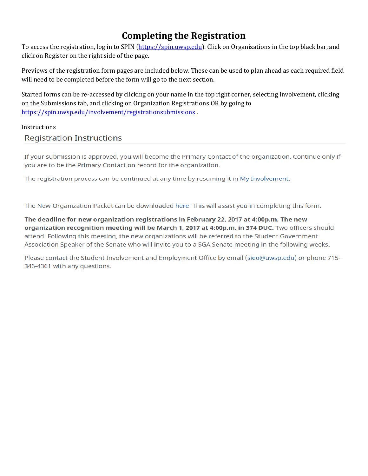### **Completing the Registration**

<span id="page-7-0"></span>To access the registration, log in to SPIN [\(https://spin.uwsp.edu\)](https://spin.uwsp.edu/). Click on Organizations in the top black bar, and click on Register on the right side of the page.

Previews of the registration form pages are included below. These can be used to plan ahead as each required field will need to be completed before the form will go to the next section.

Started forms can be re-accessed by clicking on your name in the top right corner, selecting involvement, clicking on the Submissions tab, and clicking on Organization Registrations OR by going to <https://spin.uwsp.edu/involvement/registrationsubmissions> .

<span id="page-7-1"></span>**Instructions** 

#### **Registration Instructions**

If your submission is approved, you will become the Primary Contact of the organization. Continue only if you are to be the Primary Contact on record for the organization.

The registration process can be continued at any time by resuming it in My Involvement.

The New Organization Packet can be downloaded here. This will assist you in completing this form.

The deadline for new organization registrations in February 22, 2017 at 4:00p.m. The new organization recognition meeting will be March 1, 2017 at 4:00p.m. in 374 DUC. Two officers should attend. Following this meeting, the new organizations will be referred to the Student Government Association Speaker of the Senate who will invite you to a SGA Senate meeting in the following weeks.

Please contact the Student Involvement and Employment Office by email (sieo@uwsp.edu) or phone 715-346-4361 with any questions.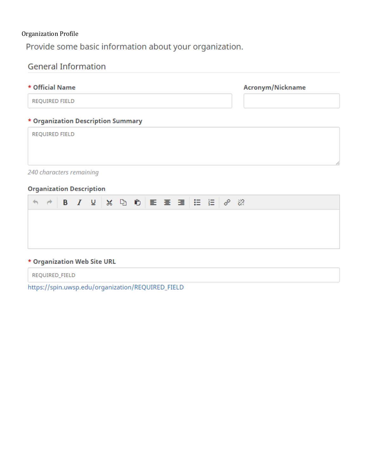#### <span id="page-8-0"></span>Organization Profile

Provide some basic information about your organization.

| <b>General Information</b>                                                                                                                                                        |                  |  |
|-----------------------------------------------------------------------------------------------------------------------------------------------------------------------------------|------------------|--|
| * Official Name                                                                                                                                                                   | Acronym/Nickname |  |
| REQUIRED FIELD                                                                                                                                                                    |                  |  |
| * Organization Description Summary                                                                                                                                                |                  |  |
| REQUIRED FIELD                                                                                                                                                                    |                  |  |
|                                                                                                                                                                                   |                  |  |
| 240 characters remaining                                                                                                                                                          |                  |  |
| <b>Organization Description</b>                                                                                                                                                   |                  |  |
| $\phi$   B   $I$   $U$   $X$   $D$   $D$   $E$   $E$   $E$   $E$   $\mathscr{S}$   $\mathscr{R}$   $\mathscr{S}$   $\mathscr{S}$   $E$   $E$   $\mathscr{S}$   $\mathscr{S}$<br>€ |                  |  |
|                                                                                                                                                                                   |                  |  |

#### \* Organization Web Site URL

REQUIRED\_FIELD

https://spin.uwsp.edu/organization/REQUIRED\_FIELD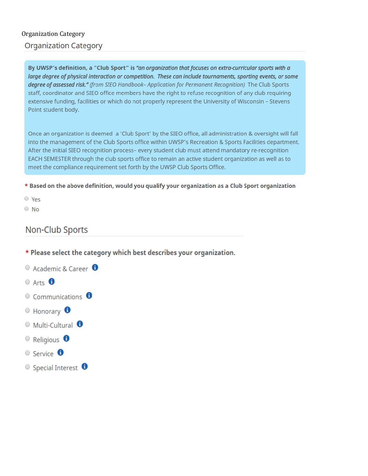#### <span id="page-9-0"></span>**Organization Category Organization Category**

By UWSP's definition, a "Club Sport" is "an organization that focuses on extra-curricular sports with a large degree of physical interaction or competition. These can include tournaments, sporting events, or some degree of assessed risk." (from SIEO Handbook- Application for Permanent Recognition) The Club Sports staff, coordinator and SIEO office members have the right to refuse recognition of any club requiring extensive funding, facilities or which do not properly represent the University of Wisconsin - Stevens Point student body.

Once an organization is deemed a 'Club Sport' by the SIEO office, all administration & oversight will fall into the management of the Club Sports office within UWSP's Recreation & Sports Facilities department. After the initial SIEO recognition process- every student club must attend mandatory re-recognition EACH SEMESTER through the club sports office to remain an active student organization as well as to meet the compliance requirement set forth by the UWSP Club Sports Office.

\* Based on the above definition, would you qualify your organization as a Club Sport organization

 $\circ$  Yes

 $\circ$  No

#### Non-Club Sports

- \* Please select the category which best describes your organization.
- $\circ$  Academic & Career  $\bullet$
- $O$  Arts  $\bigoplus$
- $\circ$  Communications  $\bullet$
- $\odot$  Honorary  $\ddot{\bullet}$
- $\odot$  Multi-Cultural  $\ddot{\bullet}$
- $\circ$  Religious  $\bullet$
- $\circ$  Service  $\bullet$
- $\circ$  Special Interest  $\bullet$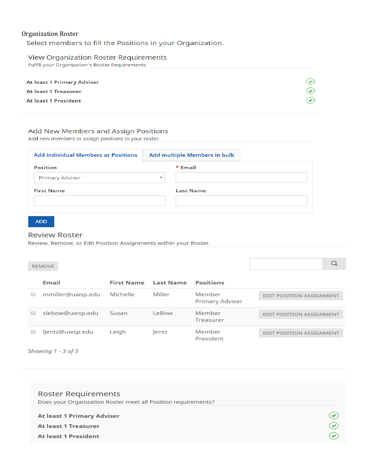#### <span id="page-10-0"></span>**Organization Roster**

Select members to fill the Positions in your Organization.

#### **View Organization Roster Requirements**

Fulfill your Organization's Roster Requirements

| At least 1 Primary Adviser  |               |
|-----------------------------|---------------|
| <b>At least 1 Treasurer</b> |               |
| <b>At least 1 President</b> | $\rightarrow$ |
|                             |               |

#### Add New Members and Assign Positions

Add new members or assign positions to your roster.

| <b>Add individual Members or Positions</b> |                         | Add multiple Members in bulk |
|--------------------------------------------|-------------------------|------------------------------|
| <b>Position</b>                            |                         | * Email                      |
| Primary Adviser                            | $\overline{\mathbf{v}}$ |                              |
| <b>First Name</b>                          |                         | <b>Last Name</b>             |
|                                            |                         |                              |
|                                            |                         |                              |

#### **ADD**

#### **Review Roster**

Review, Remove, or Edit Position Assignments within your Roster.

| <b>REMOVE</b> |
|---------------|
|               |
|               |

| Email            | <b>First Name</b> | Last Name | <b>Positions</b>                 |                                 |
|------------------|-------------------|-----------|----------------------------------|---------------------------------|
| mmiller@uwsp.edu | Michelle          | Miller    | Member<br><b>Primary Adviser</b> | <b>EDIT POSITION ASSIGNMENT</b> |
| slebow@uwsp.edu  | Susan             | LeBow     | Member<br>Treasurer              | <b>EDIT POSITION ASSIGNMENT</b> |
| ljentz@uwsp.edu  | Leigh             | lentz     | Member<br>President              | <b>EDIT POSITION ASSIGNMENT</b> |

 $\overline{Q}$ 

Showing 1 - 3 of 3

| <b>Roster Requirements</b>                                    |              |
|---------------------------------------------------------------|--------------|
| Does your Organization Roster meet all Position requirements? |              |
| <b>At least 1 Primary Adviser</b>                             |              |
| <b>At least 1 Treasurer</b>                                   | $\checkmark$ |
| <b>At least 1 President</b>                                   |              |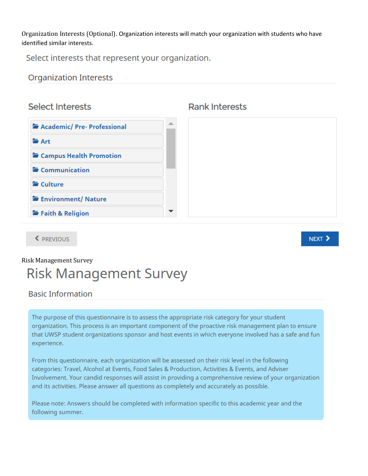<span id="page-11-0"></span>Organization Interests (Optional). Organization interests will match your organization with students who have identified similar interests.

Select interests that represent your organization.

#### **Organization Interests**

### **Select Interests**



#### **Rank Interests**

NEXT >

### <span id="page-11-1"></span>**Risk Management Survey**

## **Risk Management Survey**

#### **Basic Information**

← PREVIOUS

The purpose of this questionnaire is to assess the appropriate risk category for your student organization. This process is an important component of the proactive risk management plan to ensure that UWSP student organizations sponsor and host events in which everyone involved has a safe and fun experience.

From this questionnaire, each organization will be assessed on their risk level in the following categories: Travel, Alcohol at Events, Food Sales & Production, Activities & Events, and Adviser Involvement. Your candid responses will assist in providing a comprehensive review of your organization and its activities. Please answer all questions as completely and accurately as possible.

Please note: Answers should be completed with information specific to this academic year and the following summer.